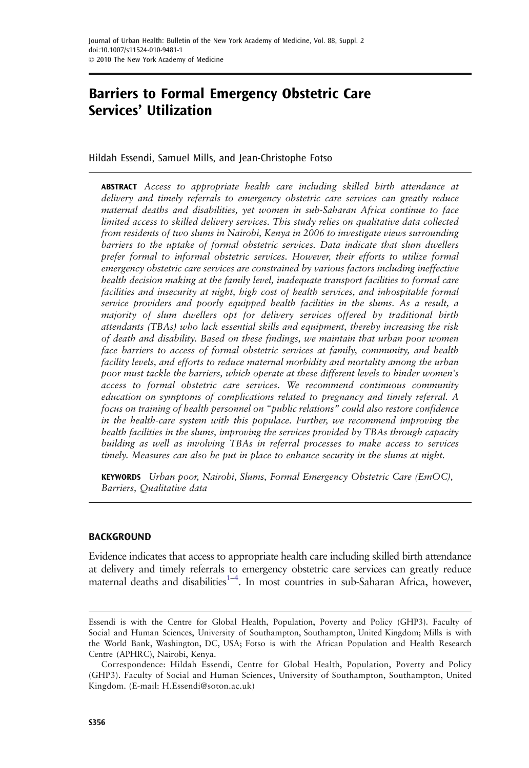# Barriers to Formal Emergency Obstetric Care Services' Utilization

Hildah Essendi, Samuel Mills, and Jean-Christophe Fotso

**ABSTRACT** Access to appropriate health care including skilled birth attendance at delivery and timely referrals to emergency obstetric care services can greatly reduce maternal deaths and disabilities, yet women in sub-Saharan Africa continue to face limited access to skilled delivery services. This study relies on qualitative data collected from residents of two slums in Nairobi, Kenya in 2006 to investigate views surrounding barriers to the uptake of formal obstetric services. Data indicate that slum dwellers prefer formal to informal obstetric services. However, their efforts to utilize formal emergency obstetric care services are constrained by various factors including ineffective health decision making at the family level, inadequate transport facilities to formal care facilities and insecurity at night, high cost of health services, and inhospitable formal service providers and poorly equipped health facilities in the slums. As a result, a majority of slum dwellers opt for delivery services offered by traditional birth attendants (TBAs) who lack essential skills and equipment, thereby increasing the risk of death and disability. Based on these findings, we maintain that urban poor women face barriers to access of formal obstetric services at family, community, and health facility levels, and efforts to reduce maternal morbidity and mortality among the urban poor must tackle the barriers, which operate at these different levels to hinder women's access to formal obstetric care services. We recommend continuous community education on symptoms of complications related to pregnancy and timely referral. A focus on training of health personnel on "public relations" could also restore confidence in the health-care system with this populace. Further, we recommend improving the health facilities in the slums, improving the services provided by TBAs through capacity building as well as involving TBAs in referral processes to make access to services timely. Measures can also be put in place to enhance security in the slums at night.

KEYWORDS Urban poor, Nairobi, Slums, Formal Emergency Obstetric Care (EmOC), Barriers, Qualitative data

# BACKGROUND

Evidence indicates that access to appropriate health care including skilled birth attendance at delivery and timely referrals to emergency obstetric care services can greatly reduce maternal deaths and disabilities<sup>1-[4](#page-12-0)</sup>. In most countries in sub-Saharan Africa, however,

Essendi is with the Centre for Global Health, Population, Poverty and Policy (GHP3). Faculty of Social and Human Sciences, University of Southampton, Southampton, United Kingdom; Mills is with the World Bank, Washington, DC, USA; Fotso is with the African Population and Health Research Centre (APHRC), Nairobi, Kenya.

Correspondence: Hildah Essendi, Centre for Global Health, Population, Poverty and Policy (GHP3). Faculty of Social and Human Sciences, University of Southampton, Southampton, United Kingdom. (E-mail: H.Essendi@soton.ac.uk)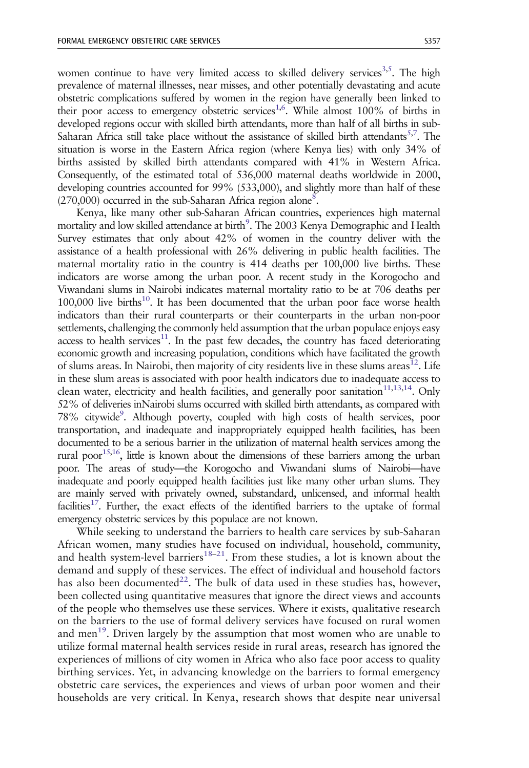women continue to have very limited access to skilled delivery services<sup>3,5</sup>. The high prevalence of maternal illnesses, near misses, and other potentially devastating and acute obstetric complications suffered by women in the region have generally been linked to their poor access to emergency obstetric services<sup>[1,6](#page-12-0)</sup>. While almost 100% of births in developed regions occur with skilled birth attendants, more than half of all births in sub-Saharan Africa still take place without the assistance of skilled birth attendants<sup>5,7</sup>. The situation is worse in the Eastern Africa region (where Kenya lies) with only 34% of births assisted by skilled birth attendants compared with 41% in Western Africa. Consequently, of the estimated total of 536,000 maternal deaths worldwide in 2000, developing countries accounted for 99% (533,000), and slightly more than half of these  $(270,000)$  occurred in the sub-Saharan Africa region alone<sup>8</sup>.

Kenya, like many other sub-Saharan African countries, experiences high maternal mortality and low skilled attendance at birth<sup>[9](#page-12-0)</sup>. The 2003 Kenya Demographic and Health Survey estimates that only about 42% of women in the country deliver with the assistance of a health professional with 26% delivering in public health facilities. The maternal mortality ratio in the country is 414 deaths per 100,000 live births. These indicators are worse among the urban poor. A recent study in the Korogocho and Viwandani slums in Nairobi indicates maternal mortality ratio to be at 706 deaths per  $100,000$  $100,000$  live births $^{10}$ . It has been documented that the urban poor face worse health indicators than their rural counterparts or their counterparts in the urban non-poor settlements, challenging the commonly held assumption that the urban populace enjoys easy access to health services $11$ . In the past few decades, the country has faced deteriorating economic growth and increasing population, conditions which have facilitated the growth of slums areas. In Nairobi, then majority of city residents live in these slums areas<sup>12</sup>. Life in these slum areas is associated with poor health indicators due to inadequate access to clean water, electricity and health facilities, and generally poor sanitation<sup>11,13,14</sup>. Only 52% of deliveries inNairobi slums occurred with skilled birth attendants, as compared with 78% citywide<sup>9</sup>. Although poverty, coupled with high costs of health services, poor transportation, and inadequate and inappropriately equipped health facilities, has been documented to be a serious barrier in the utilization of maternal health services among the rural poor<sup>15,16</sup>, little is known about the dimensions of these barriers among the urban poor. The areas of study—the Korogocho and Viwandani slums of Nairobi—have inadequate and poorly equipped health facilities just like many other urban slums. They are mainly served with privately owned, substandard, unlicensed, and informal health facilities<sup>17</sup>. Further, the exact effects of the identified barriers to the uptake of formal emergency obstetric services by this populace are not known.

While seeking to understand the barriers to health care services by sub-Saharan African women, many studies have focused on individual, household, community, and health system-level barriers<sup>[18](#page-13-0)–21</sup>. From these studies, a lot is known about the demand and supply of these services. The effect of individual and household factors has also been documented<sup>[22](#page-13-0)</sup>. The bulk of data used in these studies has, however, been collected using quantitative measures that ignore the direct views and accounts of the people who themselves use these services. Where it exists, qualitative research on the barriers to the use of formal delivery services have focused on rural women and men<sup>19</sup>. Driven largely by the assumption that most women who are unable to utilize formal maternal health services reside in rural areas, research has ignored the experiences of millions of city women in Africa who also face poor access to quality birthing services. Yet, in advancing knowledge on the barriers to formal emergency obstetric care services, the experiences and views of urban poor women and their households are very critical. In Kenya, research shows that despite near universal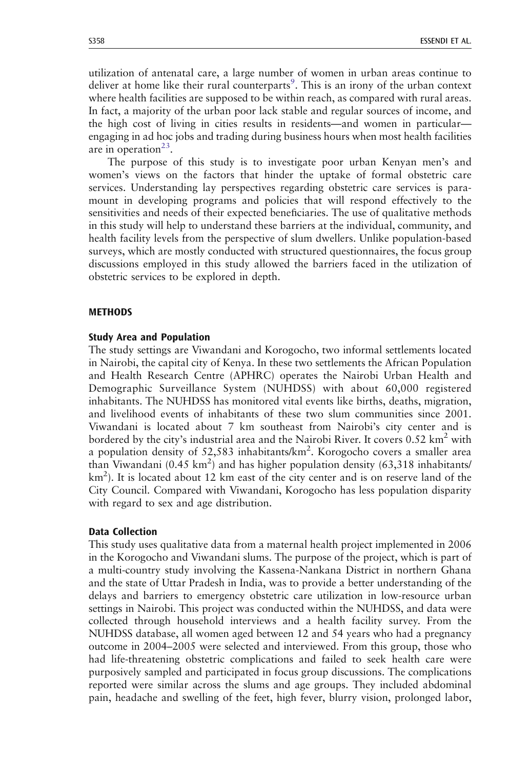utilization of antenatal care, a large number of women in urban areas continue to deliver at home like their rural counterparts<sup>[9](#page-12-0)</sup>. This is an irony of the urban context where health facilities are supposed to be within reach, as compared with rural areas. In fact, a majority of the urban poor lack stable and regular sources of income, and the high cost of living in cities results in residents—and women in particular engaging in ad hoc jobs and trading during business hours when most health facilities are in operation<sup>[23](#page-13-0)</sup>.

The purpose of this study is to investigate poor urban Kenyan men's and women's views on the factors that hinder the uptake of formal obstetric care services. Understanding lay perspectives regarding obstetric care services is paramount in developing programs and policies that will respond effectively to the sensitivities and needs of their expected beneficiaries. The use of qualitative methods in this study will help to understand these barriers at the individual, community, and health facility levels from the perspective of slum dwellers. Unlike population-based surveys, which are mostly conducted with structured questionnaires, the focus group discussions employed in this study allowed the barriers faced in the utilization of obstetric services to be explored in depth.

## **METHODS**

#### Study Area and Population

The study settings are Viwandani and Korogocho, two informal settlements located in Nairobi, the capital city of Kenya. In these two settlements the African Population and Health Research Centre (APHRC) operates the Nairobi Urban Health and Demographic Surveillance System (NUHDSS) with about 60,000 registered inhabitants. The NUHDSS has monitored vital events like births, deaths, migration, and livelihood events of inhabitants of these two slum communities since 2001. Viwandani is located about 7 km southeast from Nairobi's city center and is bordered by the city's industrial area and the Nairobi River. It covers  $0.52 \text{ km}^2$  with a population density of 52,583 inhabitants/ $km^2$ . Korogocho covers a smaller area than Viwandani (0.45 km<sup>2</sup>) and has higher population density (63,318 inhabitants/ km<sup>2</sup> ). It is located about 12 km east of the city center and is on reserve land of the City Council. Compared with Viwandani, Korogocho has less population disparity with regard to sex and age distribution.

#### Data Collection

This study uses qualitative data from a maternal health project implemented in 2006 in the Korogocho and Viwandani slums. The purpose of the project, which is part of a multi-country study involving the Kassena-Nankana District in northern Ghana and the state of Uttar Pradesh in India, was to provide a better understanding of the delays and barriers to emergency obstetric care utilization in low-resource urban settings in Nairobi. This project was conducted within the NUHDSS, and data were collected through household interviews and a health facility survey. From the NUHDSS database, all women aged between 12 and 54 years who had a pregnancy outcome in 2004–2005 were selected and interviewed. From this group, those who had life-threatening obstetric complications and failed to seek health care were purposively sampled and participated in focus group discussions. The complications reported were similar across the slums and age groups. They included abdominal pain, headache and swelling of the feet, high fever, blurry vision, prolonged labor,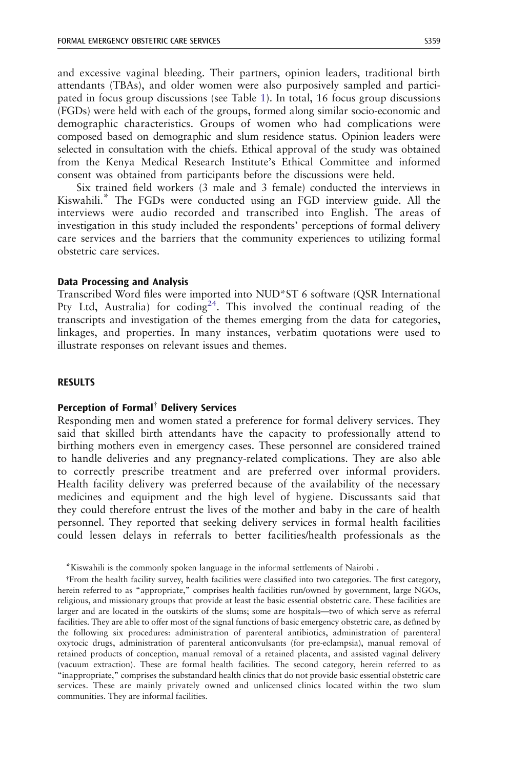and excessive vaginal bleeding. Their partners, opinion leaders, traditional birth attendants (TBAs), and older women were also purposively sampled and participated in focus group discussions (see Table [1](#page-4-0)). In total, 16 focus group discussions (FGDs) were held with each of the groups, formed along similar socio-economic and demographic characteristics. Groups of women who had complications were composed based on demographic and slum residence status. Opinion leaders were selected in consultation with the chiefs. Ethical approval of the study was obtained from the Kenya Medical Research Institute's Ethical Committee and informed consent was obtained from participants before the discussions were held.

Six trained field workers (3 male and 3 female) conducted the interviews in Kiswahili.\* The FGDs were conducted using an FGD interview guide. All the interviews were audio recorded and transcribed into English. The areas of investigation in this study included the respondents' perceptions of formal delivery care services and the barriers that the community experiences to utilizing formal obstetric care services.

## Data Processing and Analysis

Transcribed Word files were imported into NUD\*ST 6 software (QSR International Pty Ltd, Australia) for coding<sup>24</sup>. This involved the continual reading of the transcripts and investigation of the themes emerging from the data for categories, linkages, and properties. In many instances, verbatim quotations were used to illustrate responses on relevant issues and themes.

# RESULTS

# Perception of Formal<sup>†</sup> Delivery Services

Responding men and women stated a preference for formal delivery services. They said that skilled birth attendants have the capacity to professionally attend to birthing mothers even in emergency cases. These personnel are considered trained to handle deliveries and any pregnancy-related complications. They are also able to correctly prescribe treatment and are preferred over informal providers. Health facility delivery was preferred because of the availability of the necessary medicines and equipment and the high level of hygiene. Discussants said that they could therefore entrust the lives of the mother and baby in the care of health personnel. They reported that seeking delivery services in formal health facilities could lessen delays in referrals to better facilities/health professionals as the

<sup>\*</sup>Kiswahili is the commonly spoken language in the informal settlements of Nairobi .

<sup>.</sup>From the health facility survey, health facilities were classified into two categories. The first category, herein referred to as "appropriate," comprises health facilities run/owned by government, large NGOs, religious, and missionary groups that provide at least the basic essential obstetric care. These facilities are larger and are located in the outskirts of the slums; some are hospitals—two of which serve as referral facilities. They are able to offer most of the signal functions of basic emergency obstetric care, as defined by the following six procedures: administration of parenteral antibiotics, administration of parenteral oxytocic drugs, administration of parenteral anticonvulsants (for pre-eclampsia), manual removal of retained products of conception, manual removal of a retained placenta, and assisted vaginal delivery (vacuum extraction). These are formal health facilities. The second category, herein referred to as "inappropriate," comprises the substandard health clinics that do not provide basic essential obstetric care services. These are mainly privately owned and unlicensed clinics located within the two slum communities. They are informal facilities.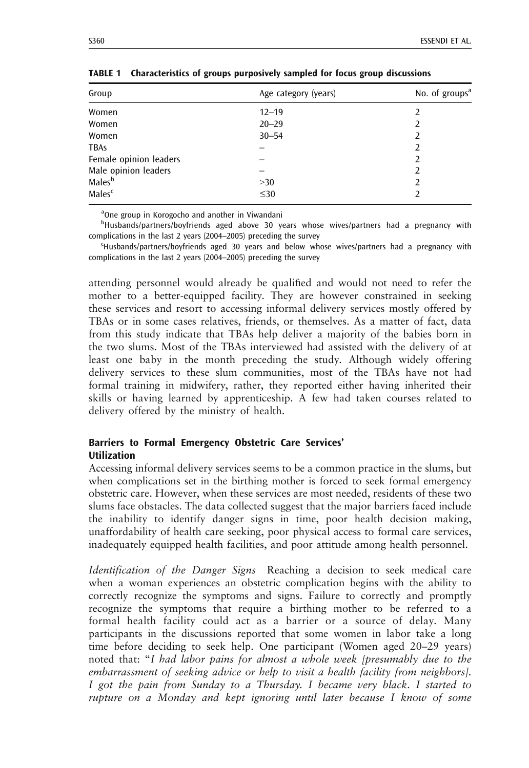<span id="page-4-0"></span>

| S360 | <b>ESSENDI ET AL</b> |
|------|----------------------|

| Group                  | Age category (years) | No. of groups <sup>a</sup> |
|------------------------|----------------------|----------------------------|
| Women                  | $12 - 19$            |                            |
| Women                  | $20 - 29$            |                            |
| Women                  | $30 - 54$            | 2                          |
| <b>TBAs</b>            |                      | 2                          |
| Female opinion leaders |                      |                            |
| Male opinion leaders   |                      | 2                          |
| Males <sup>b</sup>     | >30                  | 2                          |
| Males <sup>c</sup>     | $\leq 30$            |                            |

TABLE 1 Characteristics of groups purposively sampled for focus group discussions

<sup>a</sup>One group in Korogocho and another in Viwandani

<sup>b</sup>Husbands/partners/boyfriends aged above 30 years whose wives/partners had a pregnancy with complications in the last 2 years (2004–2005) preceding the survey

c Husbands/partners/boyfriends aged 30 years and below whose wives/partners had a pregnancy with complications in the last 2 years (2004–2005) preceding the survey

attending personnel would already be qualified and would not need to refer the mother to a better-equipped facility. They are however constrained in seeking these services and resort to accessing informal delivery services mostly offered by TBAs or in some cases relatives, friends, or themselves. As a matter of fact, data from this study indicate that TBAs help deliver a majority of the babies born in the two slums. Most of the TBAs interviewed had assisted with the delivery of at least one baby in the month preceding the study. Although widely offering delivery services to these slum communities, most of the TBAs have not had formal training in midwifery, rather, they reported either having inherited their skills or having learned by apprenticeship. A few had taken courses related to delivery offered by the ministry of health.

# Barriers to Formal Emergency Obstetric Care Services' Utilization

Accessing informal delivery services seems to be a common practice in the slums, but when complications set in the birthing mother is forced to seek formal emergency obstetric care. However, when these services are most needed, residents of these two slums face obstacles. The data collected suggest that the major barriers faced include the inability to identify danger signs in time, poor health decision making, unaffordability of health care seeking, poor physical access to formal care services, inadequately equipped health facilities, and poor attitude among health personnel.

Identification of the Danger Signs Reaching a decision to seek medical care when a woman experiences an obstetric complication begins with the ability to correctly recognize the symptoms and signs. Failure to correctly and promptly recognize the symptoms that require a birthing mother to be referred to a formal health facility could act as a barrier or a source of delay. Many participants in the discussions reported that some women in labor take a long time before deciding to seek help. One participant (Women aged 20–29 years) noted that: "I had labor pains for almost a whole week [presumably due to the embarrassment of seeking advice or help to visit a health facility from neighbors]. I got the pain from Sunday to a Thursday. I became very black. I started to rupture on a Monday and kept ignoring until later because I know of some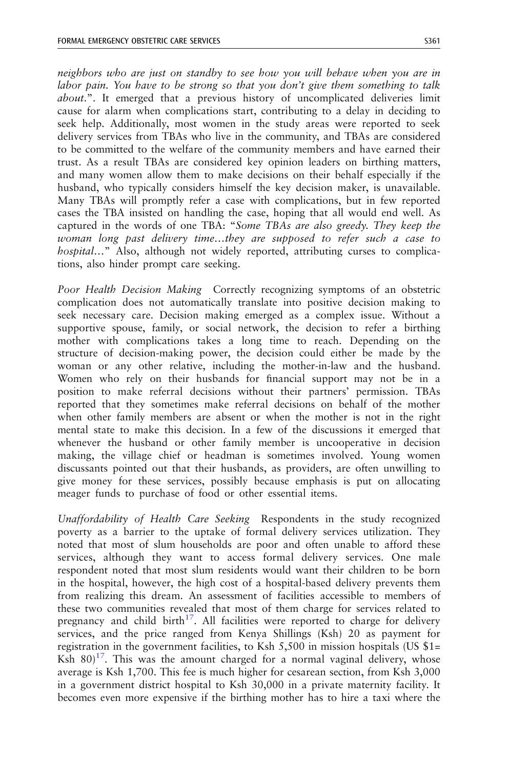neighbors who are just on standby to see how you will behave when you are in labor pain. You have to be strong so that you don't give them something to talk about.". It emerged that a previous history of uncomplicated deliveries limit cause for alarm when complications start, contributing to a delay in deciding to seek help. Additionally, most women in the study areas were reported to seek delivery services from TBAs who live in the community, and TBAs are considered to be committed to the welfare of the community members and have earned their trust. As a result TBAs are considered key opinion leaders on birthing matters, and many women allow them to make decisions on their behalf especially if the husband, who typically considers himself the key decision maker, is unavailable. Many TBAs will promptly refer a case with complications, but in few reported cases the TBA insisted on handling the case, hoping that all would end well. As captured in the words of one TBA: "Some TBAs are also greedy. They keep the woman long past delivery time…they are supposed to refer such a case to hospital..." Also, although not widely reported, attributing curses to complications, also hinder prompt care seeking.

Poor Health Decision Making Correctly recognizing symptoms of an obstetric complication does not automatically translate into positive decision making to seek necessary care. Decision making emerged as a complex issue. Without a supportive spouse, family, or social network, the decision to refer a birthing mother with complications takes a long time to reach. Depending on the structure of decision-making power, the decision could either be made by the woman or any other relative, including the mother-in-law and the husband. Women who rely on their husbands for financial support may not be in a position to make referral decisions without their partners' permission. TBAs reported that they sometimes make referral decisions on behalf of the mother when other family members are absent or when the mother is not in the right mental state to make this decision. In a few of the discussions it emerged that whenever the husband or other family member is uncooperative in decision making, the village chief or headman is sometimes involved. Young women discussants pointed out that their husbands, as providers, are often unwilling to give money for these services, possibly because emphasis is put on allocating meager funds to purchase of food or other essential items.

Unaffordability of Health Care Seeking Respondents in the study recognized poverty as a barrier to the uptake of formal delivery services utilization. They noted that most of slum households are poor and often unable to afford these services, although they want to access formal delivery services. One male respondent noted that most slum residents would want their children to be born in the hospital, however, the high cost of a hospital-based delivery prevents them from realizing this dream. An assessment of facilities accessible to members of these two communities revealed that most of them charge for services related to pregnancy and child birth<sup>[17](#page-13-0)</sup>. All facilities were reported to charge for delivery services, and the price ranged from Kenya Shillings (Ksh) 20 as payment for registration in the government facilities, to Ksh 5,500 in mission hospitals (US \$1= Ksh  $80$ <sup>17</sup>. This was the amount charged for a normal vaginal delivery, whose average is Ksh 1,700. This fee is much higher for cesarean section, from Ksh 3,000 in a government district hospital to Ksh 30,000 in a private maternity facility. It becomes even more expensive if the birthing mother has to hire a taxi where the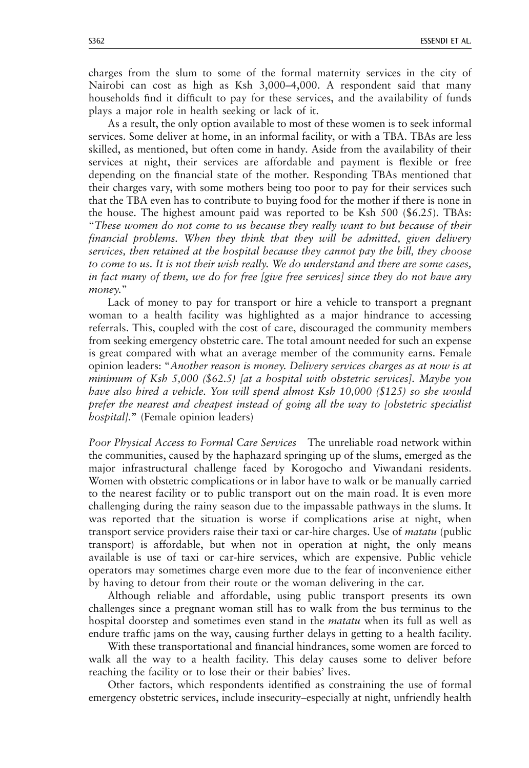charges from the slum to some of the formal maternity services in the city of Nairobi can cost as high as Ksh 3,000–4,000. A respondent said that many households find it difficult to pay for these services, and the availability of funds plays a major role in health seeking or lack of it.

As a result, the only option available to most of these women is to seek informal services. Some deliver at home, in an informal facility, or with a TBA. TBAs are less skilled, as mentioned, but often come in handy. Aside from the availability of their services at night, their services are affordable and payment is flexible or free depending on the financial state of the mother. Responding TBAs mentioned that their charges vary, with some mothers being too poor to pay for their services such that the TBA even has to contribute to buying food for the mother if there is none in the house. The highest amount paid was reported to be Ksh 500 (\$6.25). TBAs: "These women do not come to us because they really want to but because of their financial problems. When they think that they will be admitted, given delivery services, then retained at the hospital because they cannot pay the bill, they choose to come to us. It is not their wish really. We do understand and there are some cases, in fact many of them, we do for free [give free services] since they do not have any money."

Lack of money to pay for transport or hire a vehicle to transport a pregnant woman to a health facility was highlighted as a major hindrance to accessing referrals. This, coupled with the cost of care, discouraged the community members from seeking emergency obstetric care. The total amount needed for such an expense is great compared with what an average member of the community earns. Female opinion leaders: "Another reason is money. Delivery services charges as at now is at minimum of Ksh 5,000 (\$62.5) [at a hospital with obstetric services]. Maybe you have also hired a vehicle. You will spend almost Ksh 10,000 (\$125) so she would prefer the nearest and cheapest instead of going all the way to [obstetric specialist hospital]." (Female opinion leaders)

Poor Physical Access to Formal Care Services The unreliable road network within the communities, caused by the haphazard springing up of the slums, emerged as the major infrastructural challenge faced by Korogocho and Viwandani residents. Women with obstetric complications or in labor have to walk or be manually carried to the nearest facility or to public transport out on the main road. It is even more challenging during the rainy season due to the impassable pathways in the slums. It was reported that the situation is worse if complications arise at night, when transport service providers raise their taxi or car-hire charges. Use of matatu (public transport) is affordable, but when not in operation at night, the only means available is use of taxi or car-hire services, which are expensive. Public vehicle operators may sometimes charge even more due to the fear of inconvenience either by having to detour from their route or the woman delivering in the car.

Although reliable and affordable, using public transport presents its own challenges since a pregnant woman still has to walk from the bus terminus to the hospital doorstep and sometimes even stand in the *matatu* when its full as well as endure traffic jams on the way, causing further delays in getting to a health facility.

With these transportational and financial hindrances, some women are forced to walk all the way to a health facility. This delay causes some to deliver before reaching the facility or to lose their or their babies' lives.

Other factors, which respondents identified as constraining the use of formal emergency obstetric services, include insecurity–especially at night, unfriendly health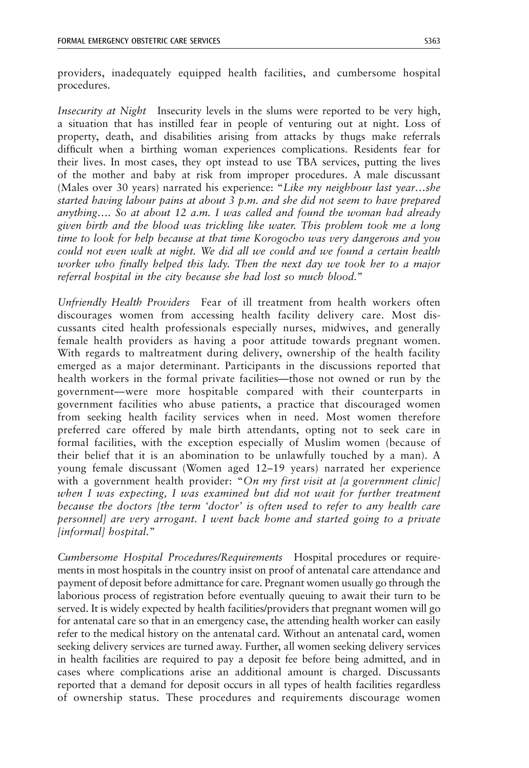providers, inadequately equipped health facilities, and cumbersome hospital procedures.

Insecurity at Night Insecurity levels in the slums were reported to be very high, a situation that has instilled fear in people of venturing out at night. Loss of property, death, and disabilities arising from attacks by thugs make referrals difficult when a birthing woman experiences complications. Residents fear for their lives. In most cases, they opt instead to use TBA services, putting the lives of the mother and baby at risk from improper procedures. A male discussant (Males over 30 years) narrated his experience: "Like my neighbour last year...she started having labour pains at about 3 p.m. and she did not seem to have prepared anything…. So at about 12 a.m. I was called and found the woman had already given birth and the blood was trickling like water. This problem took me a long time to look for help because at that time Korogocho was very dangerous and you could not even walk at night. We did all we could and we found a certain health worker who finally helped this lady. Then the next day we took her to a major referral hospital in the city because she had lost so much blood."

Unfriendly Health Providers Fear of ill treatment from health workers often discourages women from accessing health facility delivery care. Most discussants cited health professionals especially nurses, midwives, and generally female health providers as having a poor attitude towards pregnant women. With regards to maltreatment during delivery, ownership of the health facility emerged as a major determinant. Participants in the discussions reported that health workers in the formal private facilities—those not owned or run by the government—were more hospitable compared with their counterparts in government facilities who abuse patients, a practice that discouraged women from seeking health facility services when in need. Most women therefore preferred care offered by male birth attendants, opting not to seek care in formal facilities, with the exception especially of Muslim women (because of their belief that it is an abomination to be unlawfully touched by a man). A young female discussant (Women aged 12–19 years) narrated her experience with a government health provider: "On my first visit at [a government clinic] when I was expecting, I was examined but did not wait for further treatment because the doctors [the term 'doctor' is often used to refer to any health care personnel] are very arrogant. I went back home and started going to a private [informal] hospital."

Cumbersome Hospital Procedures/Requirements Hospital procedures or requirements in most hospitals in the country insist on proof of antenatal care attendance and payment of deposit before admittance for care. Pregnant women usually go through the laborious process of registration before eventually queuing to await their turn to be served. It is widely expected by health facilities/providers that pregnant women will go for antenatal care so that in an emergency case, the attending health worker can easily refer to the medical history on the antenatal card. Without an antenatal card, women seeking delivery services are turned away. Further, all women seeking delivery services in health facilities are required to pay a deposit fee before being admitted, and in cases where complications arise an additional amount is charged. Discussants reported that a demand for deposit occurs in all types of health facilities regardless of ownership status. These procedures and requirements discourage women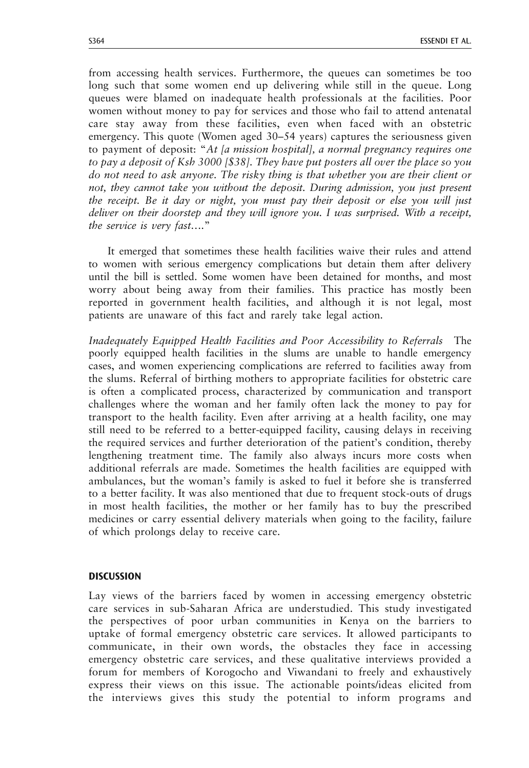from accessing health services. Furthermore, the queues can sometimes be too long such that some women end up delivering while still in the queue. Long queues were blamed on inadequate health professionals at the facilities. Poor women without money to pay for services and those who fail to attend antenatal care stay away from these facilities, even when faced with an obstetric emergency. This quote (Women aged 30–54 years) captures the seriousness given to payment of deposit: "At [a mission hospital], a normal pregnancy requires one to pay a deposit of Ksh 3000 [\$38]. They have put posters all over the place so you do not need to ask anyone. The risky thing is that whether you are their client or not, they cannot take you without the deposit. During admission, you just present the receipt. Be it day or night, you must pay their deposit or else you will just deliver on their doorstep and they will ignore you. I was surprised. With a receipt, the service is very fast…."

It emerged that sometimes these health facilities waive their rules and attend to women with serious emergency complications but detain them after delivery until the bill is settled. Some women have been detained for months, and most worry about being away from their families. This practice has mostly been reported in government health facilities, and although it is not legal, most patients are unaware of this fact and rarely take legal action.

Inadequately Equipped Health Facilities and Poor Accessibility to Referrals The poorly equipped health facilities in the slums are unable to handle emergency cases, and women experiencing complications are referred to facilities away from the slums. Referral of birthing mothers to appropriate facilities for obstetric care is often a complicated process, characterized by communication and transport challenges where the woman and her family often lack the money to pay for transport to the health facility. Even after arriving at a health facility, one may still need to be referred to a better-equipped facility, causing delays in receiving the required services and further deterioration of the patient's condition, thereby lengthening treatment time. The family also always incurs more costs when additional referrals are made. Sometimes the health facilities are equipped with ambulances, but the woman's family is asked to fuel it before she is transferred to a better facility. It was also mentioned that due to frequent stock-outs of drugs in most health facilities, the mother or her family has to buy the prescribed medicines or carry essential delivery materials when going to the facility, failure of which prolongs delay to receive care.

#### **DISCUSSION**

Lay views of the barriers faced by women in accessing emergency obstetric care services in sub-Saharan Africa are understudied. This study investigated the perspectives of poor urban communities in Kenya on the barriers to uptake of formal emergency obstetric care services. It allowed participants to communicate, in their own words, the obstacles they face in accessing emergency obstetric care services, and these qualitative interviews provided a forum for members of Korogocho and Viwandani to freely and exhaustively express their views on this issue. The actionable points/ideas elicited from the interviews gives this study the potential to inform programs and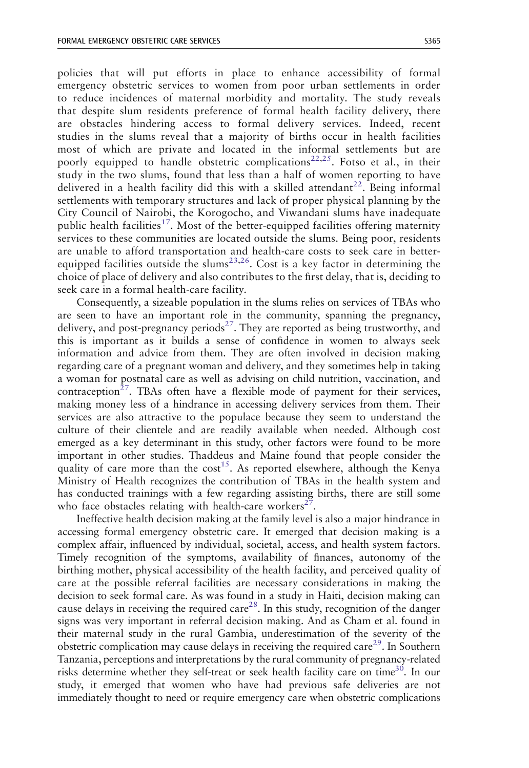policies that will put efforts in place to enhance accessibility of formal emergency obstetric services to women from poor urban settlements in order to reduce incidences of maternal morbidity and mortality. The study reveals that despite slum residents preference of formal health facility delivery, there are obstacles hindering access to formal delivery services. Indeed, recent studies in the slums reveal that a majority of births occur in health facilities most of which are private and located in the informal settlements but are poorly equipped to handle obstetric complications<sup>[22,25](#page-13-0)</sup>. Fotso et al., in their study in the two slums, found that less than a half of women reporting to have delivered in a health facility did this with a skilled attendant<sup>[22](#page-13-0)</sup>. Being informal settlements with temporary structures and lack of proper physical planning by the City Council of Nairobi, the Korogocho, and Viwandani slums have inadequate public health facilities<sup>[17](#page-13-0)</sup>. Most of the better-equipped facilities offering maternity services to these communities are located outside the slums. Being poor, residents are unable to afford transportation and health-care costs to seek care in betterequipped facilities outside the slums<sup>23,26</sup>. Cost is a key factor in determining the choice of place of delivery and also contributes to the first delay, that is, deciding to seek care in a formal health-care facility.

Consequently, a sizeable population in the slums relies on services of TBAs who are seen to have an important role in the community, spanning the pregnancy, delivery, and post-pregnancy periods<sup>27</sup>. They are reported as being trustworthy, and this is important as it builds a sense of confidence in women to always seek information and advice from them. They are often involved in decision making regarding care of a pregnant woman and delivery, and they sometimes help in taking a woman for postnatal care as well as advising on child nutrition, vaccination, and contraception<sup>27</sup>. TBAs often have a flexible mode of payment for their services, making money less of a hindrance in accessing delivery services from them. Their services are also attractive to the populace because they seem to understand the culture of their clientele and are readily available when needed. Although cost emerged as a key determinant in this study, other factors were found to be more important in other studies. Thaddeus and Maine found that people consider the quality of care more than the  $cost^{15}$ . As reported elsewhere, although the Kenya Ministry of Health recognizes the contribution of TBAs in the health system and has conducted trainings with a few regarding assisting births, there are still some who face obstacles relating with health-care workers<sup>[27](#page-13-0)</sup>.

Ineffective health decision making at the family level is also a major hindrance in accessing formal emergency obstetric care. It emerged that decision making is a complex affair, influenced by individual, societal, access, and health system factors. Timely recognition of the symptoms, availability of finances, autonomy of the birthing mother, physical accessibility of the health facility, and perceived quality of care at the possible referral facilities are necessary considerations in making the decision to seek formal care. As was found in a study in Haiti, decision making can cause delays in receiving the required care<sup>[28](#page-13-0)</sup>. In this study, recognition of the danger signs was very important in referral decision making. And as Cham et al. found in their maternal study in the rural Gambia, underestimation of the severity of the obstetric complication may cause delays in receiving the required care<sup>[29](#page-13-0)</sup>. In Southern Tanzania, perceptions and interpretations by the rural community of pregnancy-related risks determine whether they self-treat or seek health facility care on time<sup>30</sup>. In our study, it emerged that women who have had previous safe deliveries are not immediately thought to need or require emergency care when obstetric complications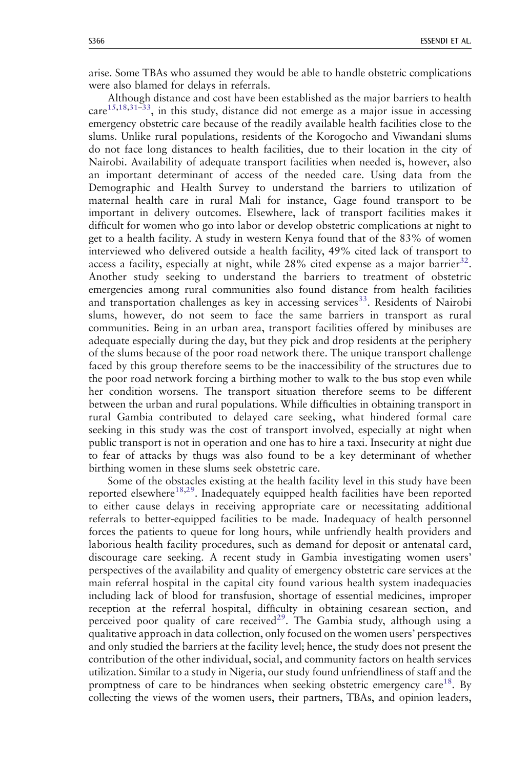arise. Some TBAs who assumed they would be able to handle obstetric complications were also blamed for delays in referrals.

Although distance and cost have been established as the major barriers to health  $care<sup>15,18,31-33</sup>$  $care<sup>15,18,31-33</sup>$  $care<sup>15,18,31-33</sup>$  $care<sup>15,18,31-33</sup>$  $care<sup>15,18,31-33</sup>$ , in this study, distance did not emerge as a major issue in accessing emergency obstetric care because of the readily available health facilities close to the slums. Unlike rural populations, residents of the Korogocho and Viwandani slums do not face long distances to health facilities, due to their location in the city of Nairobi. Availability of adequate transport facilities when needed is, however, also an important determinant of access of the needed care. Using data from the Demographic and Health Survey to understand the barriers to utilization of maternal health care in rural Mali for instance, Gage found transport to be important in delivery outcomes. Elsewhere, lack of transport facilities makes it difficult for women who go into labor or develop obstetric complications at night to get to a health facility. A study in western Kenya found that of the 83% of women interviewed who delivered outside a health facility, 49% cited lack of transport to access a facility, especially at night, while  $28\%$  cited expense as a major barrier<sup>32</sup>. Another study seeking to understand the barriers to treatment of obstetric emergencies among rural communities also found distance from health facilities and transportation challenges as key in accessing services<sup>33</sup>. Residents of Nairobi slums, however, do not seem to face the same barriers in transport as rural communities. Being in an urban area, transport facilities offered by minibuses are adequate especially during the day, but they pick and drop residents at the periphery of the slums because of the poor road network there. The unique transport challenge faced by this group therefore seems to be the inaccessibility of the structures due to the poor road network forcing a birthing mother to walk to the bus stop even while her condition worsens. The transport situation therefore seems to be different between the urban and rural populations. While difficulties in obtaining transport in rural Gambia contributed to delayed care seeking, what hindered formal care seeking in this study was the cost of transport involved, especially at night when public transport is not in operation and one has to hire a taxi. Insecurity at night due to fear of attacks by thugs was also found to be a key determinant of whether birthing women in these slums seek obstetric care.

Some of the obstacles existing at the health facility level in this study have been reported elsewhere<sup>[18,29](#page-13-0)</sup>. Inadequately equipped health facilities have been reported to either cause delays in receiving appropriate care or necessitating additional referrals to better-equipped facilities to be made. Inadequacy of health personnel forces the patients to queue for long hours, while unfriendly health providers and laborious health facility procedures, such as demand for deposit or antenatal card, discourage care seeking. A recent study in Gambia investigating women users' perspectives of the availability and quality of emergency obstetric care services at the main referral hospital in the capital city found various health system inadequacies including lack of blood for transfusion, shortage of essential medicines, improper reception at the referral hospital, difficulty in obtaining cesarean section, and perceived poor quality of care received<sup>[29](#page-13-0)</sup>. The Gambia study, although using a qualitative approach in data collection, only focused on the women users' perspectives and only studied the barriers at the facility level; hence, the study does not present the contribution of the other individual, social, and community factors on health services utilization. Similar to a study in Nigeria, our study found unfriendliness of staff and the promptness of care to be hindrances when seeking obstetric emergency care<sup>18</sup>. By collecting the views of the women users, their partners, TBAs, and opinion leaders,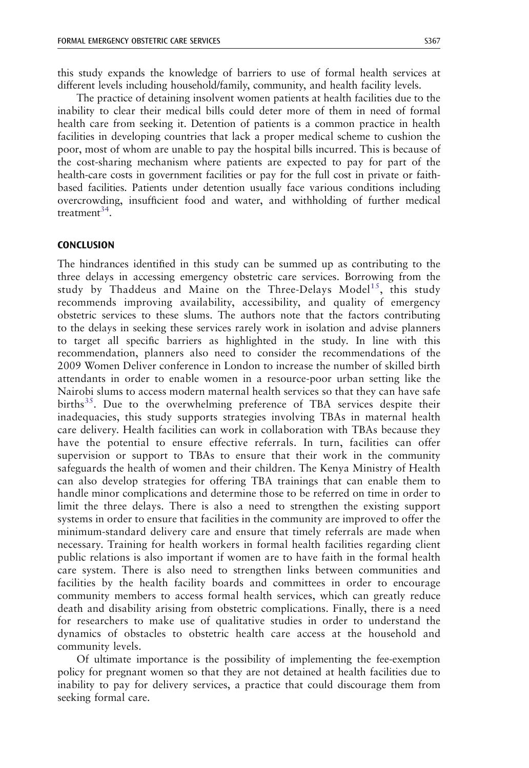this study expands the knowledge of barriers to use of formal health services at different levels including household/family, community, and health facility levels.

The practice of detaining insolvent women patients at health facilities due to the inability to clear their medical bills could deter more of them in need of formal health care from seeking it. Detention of patients is a common practice in health facilities in developing countries that lack a proper medical scheme to cushion the poor, most of whom are unable to pay the hospital bills incurred. This is because of the cost-sharing mechanism where patients are expected to pay for part of the health-care costs in government facilities or pay for the full cost in private or faithbased facilities. Patients under detention usually face various conditions including overcrowding, insufficient food and water, and withholding of further medical treatment $^{34}$ .

# **CONCLUSION**

The hindrances identified in this study can be summed up as contributing to the three delays in accessing emergency obstetric care services. Borrowing from the study by Thaddeus and Maine on the Three-Delays Model<sup>15</sup>, this study recommends improving availability, accessibility, and quality of emergency obstetric services to these slums. The authors note that the factors contributing to the delays in seeking these services rarely work in isolation and advise planners to target all specific barriers as highlighted in the study. In line with this recommendation, planners also need to consider the recommendations of the 2009 Women Deliver conference in London to increase the number of skilled birth attendants in order to enable women in a resource-poor urban setting like the Nairobi slums to access modern maternal health services so that they can have safe births<sup>35</sup>. Due to the overwhelming preference of TBA services despite their inadequacies, this study supports strategies involving TBAs in maternal health care delivery. Health facilities can work in collaboration with TBAs because they have the potential to ensure effective referrals. In turn, facilities can offer supervision or support to TBAs to ensure that their work in the community safeguards the health of women and their children. The Kenya Ministry of Health can also develop strategies for offering TBA trainings that can enable them to handle minor complications and determine those to be referred on time in order to limit the three delays. There is also a need to strengthen the existing support systems in order to ensure that facilities in the community are improved to offer the minimum-standard delivery care and ensure that timely referrals are made when necessary. Training for health workers in formal health facilities regarding client public relations is also important if women are to have faith in the formal health care system. There is also need to strengthen links between communities and facilities by the health facility boards and committees in order to encourage community members to access formal health services, which can greatly reduce death and disability arising from obstetric complications. Finally, there is a need for researchers to make use of qualitative studies in order to understand the dynamics of obstacles to obstetric health care access at the household and community levels.

Of ultimate importance is the possibility of implementing the fee-exemption policy for pregnant women so that they are not detained at health facilities due to inability to pay for delivery services, a practice that could discourage them from seeking formal care.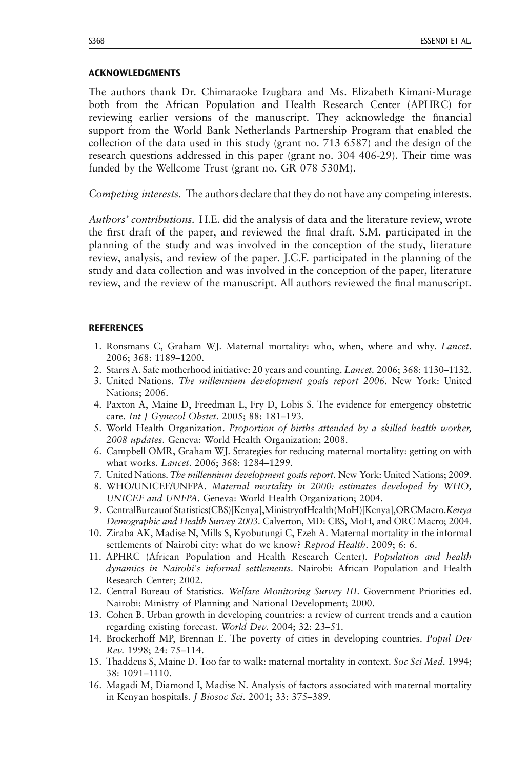## <span id="page-12-0"></span>ACKNOWLEDGMENTS

The authors thank Dr. Chimaraoke Izugbara and Ms. Elizabeth Kimani-Murage both from the African Population and Health Research Center (APHRC) for reviewing earlier versions of the manuscript. They acknowledge the financial support from the World Bank Netherlands Partnership Program that enabled the collection of the data used in this study (grant no. 713 6587) and the design of the research questions addressed in this paper (grant no. 304 406-29). Their time was funded by the Wellcome Trust (grant no. GR 078 530M).

Competing interests. The authors declare that they do not have any competing interests.

Authors' contributions. H.E. did the analysis of data and the literature review, wrote the first draft of the paper, and reviewed the final draft. S.M. participated in the planning of the study and was involved in the conception of the study, literature review, analysis, and review of the paper. J.C.F. participated in the planning of the study and data collection and was involved in the conception of the paper, literature review, and the review of the manuscript. All authors reviewed the final manuscript.

## **REFERENCES**

- 1. Ronsmans C, Graham WJ. Maternal mortality: who, when, where and why. Lancet. 2006; 368: 1189–1200.
- 2. Starrs A. Safe motherhood initiative: 20 years and counting. Lancet. 2006; 368: 1130–1132.
- 3. United Nations. The millennium development goals report 2006. New York: United Nations; 2006.
- 4. Paxton A, Maine D, Freedman L, Fry D, Lobis S. The evidence for emergency obstetric care. Int J Gynecol Obstet. 2005; 88: 181–193.
- 5. World Health Organization. Proportion of births attended by a skilled health worker, 2008 updates. Geneva: World Health Organization; 2008.
- 6. Campbell OMR, Graham WJ. Strategies for reducing maternal mortality: getting on with what works. Lancet. 2006; 368: 1284–1299.
- 7. United Nations. The millennium development goals report. New York: United Nations; 2009.
- 8. WHO/UNICEF/UNFPA. Maternal mortality in 2000: estimates developed by WHO, UNICEF and UNFPA. Geneva: World Health Organization; 2004.
- 9. CentralBureauof Statistics(CBS)[Kenya],MinistryofHealth(MoH)[Kenya],ORCMacro.Kenya Demographic and Health Survey 2003. Calverton, MD: CBS, MoH, and ORC Macro; 2004.
- 10. Ziraba AK, Madise N, Mills S, Kyobutungi C, Ezeh A. Maternal mortality in the informal settlements of Nairobi city: what do we know? Reprod Health. 2009; 6: 6.
- 11. APHRC (African Population and Health Research Center). Population and health dynamics in Nairobi's informal settlements. Nairobi: African Population and Health Research Center; 2002.
- 12. Central Bureau of Statistics. Welfare Monitoring Survey III. Government Priorities ed. Nairobi: Ministry of Planning and National Development; 2000.
- 13. Cohen B. Urban growth in developing countries: a review of current trends and a caution regarding existing forecast. World Dev. 2004; 32: 23–51.
- 14. Brockerhoff MP, Brennan E. The poverty of cities in developing countries. Popul Dev Rev. 1998; 24: 75–114.
- 15. Thaddeus S, Maine D. Too far to walk: maternal mortality in context. Soc Sci Med. 1994; 38: 1091–1110.
- 16. Magadi M, Diamond I, Madise N. Analysis of factors associated with maternal mortality in Kenyan hospitals. J Biosoc Sci. 2001; 33: 375–389.